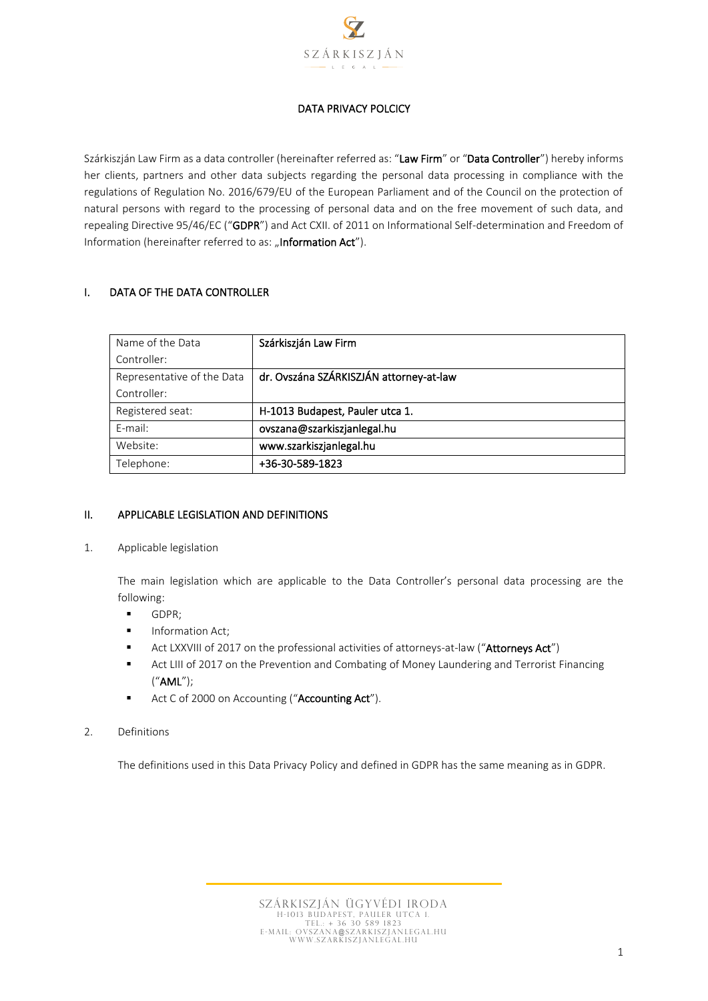

# DATA PRIVACY POLCICY

Szárkiszján Law Firm as a data controller (hereinafter referred as: "Law Firm" or "Data Controller") hereby informs her clients, partners and other data subjects regarding the personal data processing in compliance with the regulations of Regulation No. 2016/679/EU of the European Parliament and of the Council on the protection of natural persons with regard to the processing of personal data and on the free movement of such data, and repealing Directive 95/46/EC ("GDPR") and Act CXII. of 2011 on Informational Self-determination and Freedom of Information (hereinafter referred to as: "Information Act").

### I. DATA OF THE DATA CONTROLLER

| Name of the Data           | Szárkiszján Law Firm                    |
|----------------------------|-----------------------------------------|
| Controller:                |                                         |
| Representative of the Data | dr. Ovszána SZÁRKISZJÁN attorney-at-law |
| Controller:                |                                         |
| Registered seat:           | H-1013 Budapest, Pauler utca 1.         |
| E-mail:                    | ovszana@szarkiszjanlegal.hu             |
| Website:                   | www.szarkiszjanlegal.hu                 |
| Telephone:                 | +36-30-589-1823                         |

### II. APPLICABLE LEGISLATION AND DEFINITIONS

1. Applicable legislation

The main legislation which are applicable to the Data Controller's personal data processing are the following:

- GDPR;
- **■** Information Act;
- Act LXXVIII of 2017 on the professional activities of attorneys-at-law ("Attorneys Act")
- Act LIII of 2017 on the Prevention and Combating of Money Laundering and Terrorist Financing ("AML");
- Act C of 2000 on Accounting ("Accounting Act").
- 2. Definitions

The definitions used in this Data Privacy Policy and defined in GDPR has the same meaning as in GDPR.

Szárkiszján Ügyvédi iroda H-1013 BUDAPEST, PAULER UTCA 1.<br>Tel.: + 36 30 589 1823<br>E-MAIL: OVSZANA@SZARKISZJANLEGAL.HU www . s z ar kis zjan le g al .hu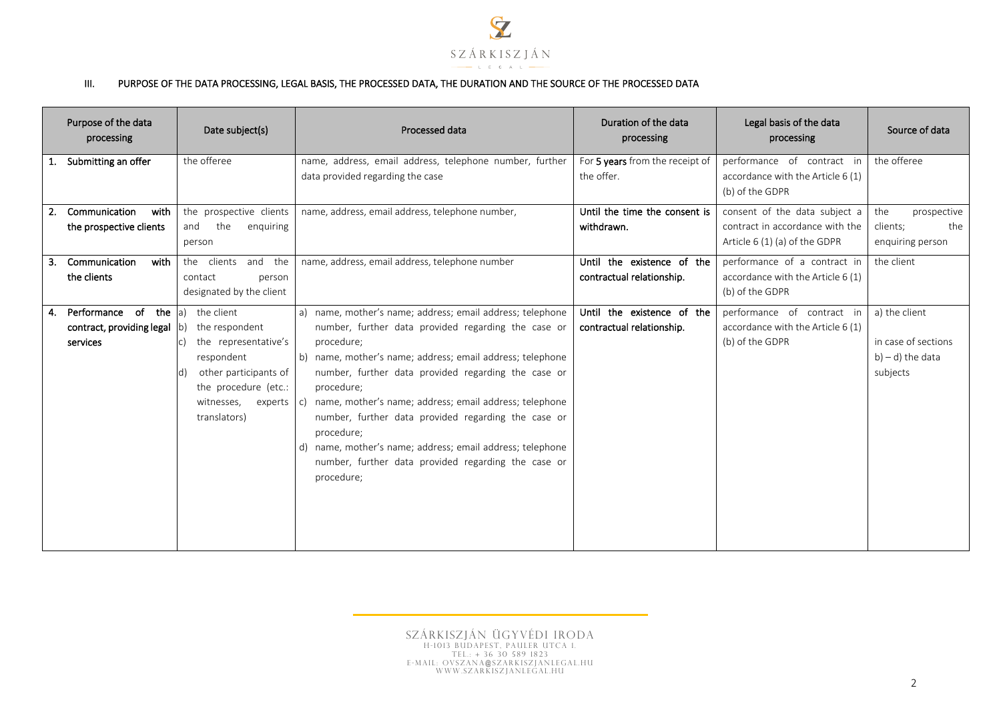

#### III. PURPOSE OF THE DATA PROCESSING, LEGAL BASIS, THE PROCESSED DATA, THE DURATION AND THE SOURCE OF THE PROCESSED DATA

| Purpose of the data<br>processing                                      | Date subject(s)                                                                                                                                                     | Processed data                                                                                                                                                                                                                                                                                                                                                                                                                                                                                                                       | Duration of the data<br>processing                      | Legal basis of the data<br>processing                                              | Source of data                                                          |
|------------------------------------------------------------------------|---------------------------------------------------------------------------------------------------------------------------------------------------------------------|--------------------------------------------------------------------------------------------------------------------------------------------------------------------------------------------------------------------------------------------------------------------------------------------------------------------------------------------------------------------------------------------------------------------------------------------------------------------------------------------------------------------------------------|---------------------------------------------------------|------------------------------------------------------------------------------------|-------------------------------------------------------------------------|
| 1. Submitting an offer                                                 | the offeree                                                                                                                                                         | name, address, email address, telephone number, further                                                                                                                                                                                                                                                                                                                                                                                                                                                                              | For 5 years from the receipt of                         | performance of contract in                                                         | the offeree                                                             |
|                                                                        |                                                                                                                                                                     | data provided regarding the case                                                                                                                                                                                                                                                                                                                                                                                                                                                                                                     | the offer.                                              | accordance with the Article 6 (1)<br>(b) of the GDPR                               |                                                                         |
| Communication<br>2.<br>with                                            | the prospective clients                                                                                                                                             | name, address, email address, telephone number,                                                                                                                                                                                                                                                                                                                                                                                                                                                                                      | Until the time the consent is                           | consent of the data subject a                                                      | the<br>prospective                                                      |
| the prospective clients                                                | the<br>and<br>enquiring                                                                                                                                             |                                                                                                                                                                                                                                                                                                                                                                                                                                                                                                                                      | withdrawn.                                              | contract in accordance with the                                                    | clients;<br>the                                                         |
|                                                                        | person                                                                                                                                                              |                                                                                                                                                                                                                                                                                                                                                                                                                                                                                                                                      |                                                         | Article $6(1)(a)$ of the GDPR                                                      | enquiring person                                                        |
| Communication<br>with<br>3.                                            | the clients and the                                                                                                                                                 | name, address, email address, telephone number                                                                                                                                                                                                                                                                                                                                                                                                                                                                                       | Until the existence of the                              | performance of a contract in                                                       | the client                                                              |
| the clients                                                            | contact<br>person                                                                                                                                                   |                                                                                                                                                                                                                                                                                                                                                                                                                                                                                                                                      | contractual relationship.                               | accordance with the Article 6 (1)                                                  |                                                                         |
|                                                                        | designated by the client                                                                                                                                            |                                                                                                                                                                                                                                                                                                                                                                                                                                                                                                                                      |                                                         | (b) of the GDPR                                                                    |                                                                         |
| Performance of<br>the a<br>4.<br>contract, providing legal<br>services | the client<br>the respondent<br>the representative's<br>respondent<br>other participants of<br>ld)<br>the procedure (etc.:<br>witnesses,<br>experts<br>translators) | a) name, mother's name; address; email address; telephone<br>number, further data provided regarding the case or<br>procedure;<br>b) name, mother's name; address; email address; telephone<br>number, further data provided regarding the case or<br>procedure;<br>c) name, mother's name; address; email address; telephone<br>number, further data provided regarding the case or<br>procedure:<br>d) name, mother's name; address; email address; telephone<br>number, further data provided regarding the case or<br>procedure; | Until the existence of the<br>contractual relationship. | performance of contract in<br>accordance with the Article 6 (1)<br>(b) of the GDPR | a) the client<br>in case of sections<br>$b$ ) – d) the data<br>subjects |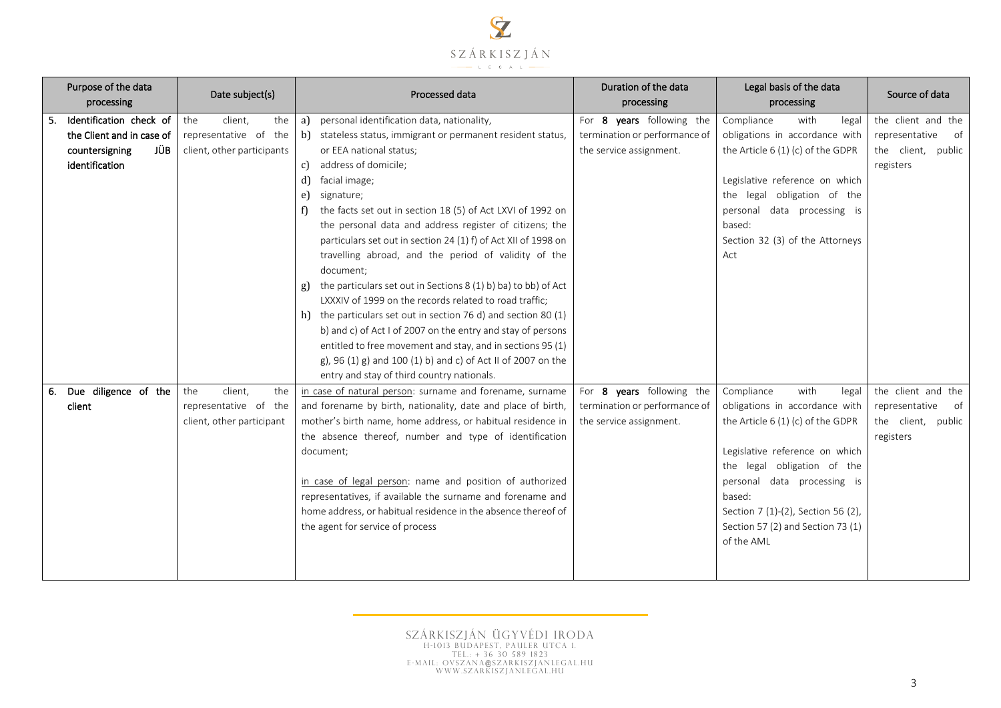

| Purpose of the data<br>processing | Date subject(s)            |     | Processed data                                                       | Duration of the data<br>processing | Legal basis of the data<br>processing | Source of data       |
|-----------------------------------|----------------------------|-----|----------------------------------------------------------------------|------------------------------------|---------------------------------------|----------------------|
| Identification check of           | client,<br>the             | the | personal identification data, nationality,<br>a)                     | For 8 years following the          | Compliance<br>with<br>legal           | the client and the   |
| the Client and in case of         | representative of the      |     | b)<br>stateless status, immigrant or permanent resident status,      | termination or performance of      | obligations in accordance with        | representative<br>of |
| JÜB.<br>countersigning            | client, other participants |     | or EEA national status;                                              | the service assignment.            | the Article 6 (1) (c) of the GDPR     | the client, public   |
| identification                    |                            |     | address of domicile;<br>c)                                           |                                    |                                       | registers            |
|                                   |                            |     | facial image;<br>d)                                                  |                                    | Legislative reference on which        |                      |
|                                   |                            |     | signature;<br>e)                                                     |                                    | the legal obligation of the           |                      |
|                                   |                            |     | the facts set out in section 18 (5) of Act LXVI of 1992 on<br>f)     |                                    | personal data processing is           |                      |
|                                   |                            |     | the personal data and address register of citizens; the              |                                    | based:                                |                      |
|                                   |                            |     | particulars set out in section 24 (1) f) of Act XII of 1998 on       |                                    | Section 32 (3) of the Attorneys       |                      |
|                                   |                            |     | travelling abroad, and the period of validity of the<br>document;    |                                    | Act                                   |                      |
|                                   |                            |     | the particulars set out in Sections 8 (1) b) ba) to bb) of Act<br>g) |                                    |                                       |                      |
|                                   |                            |     | LXXXIV of 1999 on the records related to road traffic;               |                                    |                                       |                      |
|                                   |                            |     | h) the particulars set out in section 76 d) and section 80 $(1)$     |                                    |                                       |                      |
|                                   |                            |     | b) and c) of Act I of 2007 on the entry and stay of persons          |                                    |                                       |                      |
|                                   |                            |     | entitled to free movement and stay, and in sections 95 (1)           |                                    |                                       |                      |
|                                   |                            |     | g), 96 (1) g) and 100 (1) b) and c) of Act II of 2007 on the         |                                    |                                       |                      |
|                                   |                            |     | entry and stay of third country nationals.                           |                                    |                                       |                      |
| 6. Due diligence of the           | the<br>client,             | the | in case of natural person: surname and forename, surname             | For 8 years following the          | with<br>Compliance<br>legal           | the client and the   |
| client                            | representative of the      |     | and forename by birth, nationality, date and place of birth,         | termination or performance of      | obligations in accordance with        | representative<br>of |
|                                   | client, other participant  |     | mother's birth name, home address, or habitual residence in          | the service assignment.            | the Article $6(1)(c)$ of the GDPR     | the client, public   |
|                                   |                            |     | the absence thereof, number and type of identification               |                                    |                                       | registers            |
|                                   |                            |     | document;                                                            |                                    | Legislative reference on which        |                      |
|                                   |                            |     |                                                                      |                                    | the legal obligation of the           |                      |
|                                   |                            |     | in case of legal person: name and position of authorized             |                                    | personal data processing is           |                      |
|                                   |                            |     | representatives, if available the surname and forename and           |                                    | based:                                |                      |
|                                   |                            |     | home address, or habitual residence in the absence thereof of        |                                    | Section 7 (1)-(2), Section 56 (2),    |                      |
|                                   |                            |     | the agent for service of process                                     |                                    | Section 57 (2) and Section 73 (1)     |                      |
|                                   |                            |     |                                                                      |                                    | of the AML                            |                      |
|                                   |                            |     |                                                                      |                                    |                                       |                      |
|                                   |                            |     |                                                                      |                                    |                                       |                      |

SZÁRKISZJÁN ÜGYVÉDI IRODA<br>H-1013 Budapest, pauler utca 1.<br>Tel.: + 36 30 589 1823<br>E-MAIL: Ovszana@szarkiszjanlegal.hu<br>www.szarkiszjanlegal.hu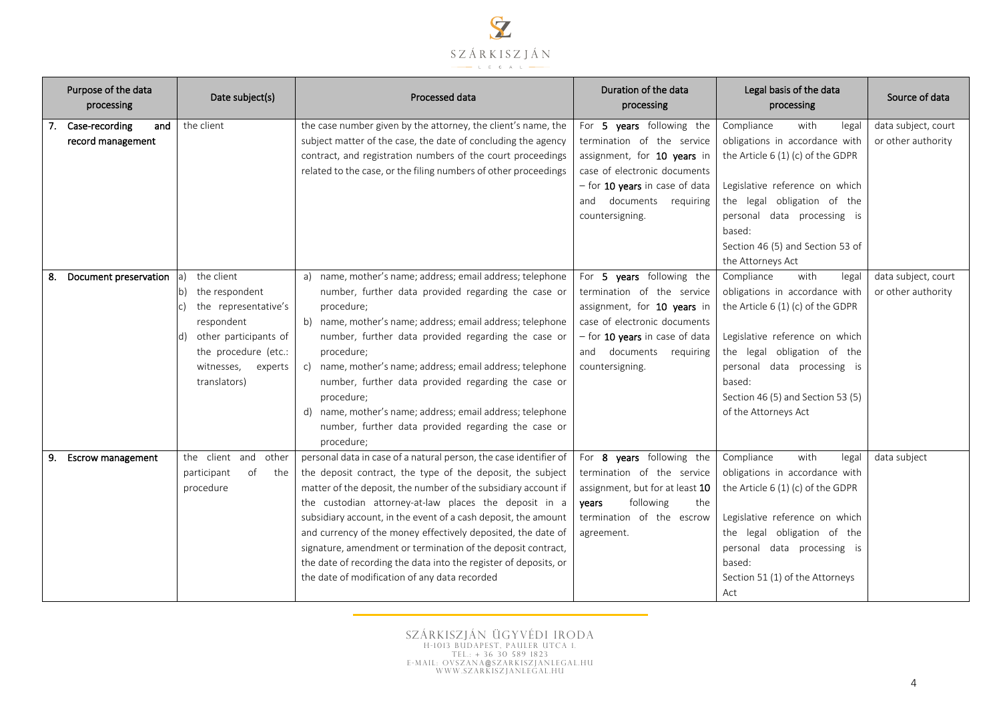

|    | Purpose of the data<br>processing             | Date subject(s)                                                                                                                                                            | Processed data                                                                                                                                                                                                                                                                                                                                                                                                                                                                                                                                                                    | Duration of the data<br>processing                                                                                                                                                                        | Legal basis of the data<br>processing                                                                                                                                                                                                                                     | Source of data                            |
|----|-----------------------------------------------|----------------------------------------------------------------------------------------------------------------------------------------------------------------------------|-----------------------------------------------------------------------------------------------------------------------------------------------------------------------------------------------------------------------------------------------------------------------------------------------------------------------------------------------------------------------------------------------------------------------------------------------------------------------------------------------------------------------------------------------------------------------------------|-----------------------------------------------------------------------------------------------------------------------------------------------------------------------------------------------------------|---------------------------------------------------------------------------------------------------------------------------------------------------------------------------------------------------------------------------------------------------------------------------|-------------------------------------------|
|    | 7. Case-recording<br>and<br>record management | the client                                                                                                                                                                 | the case number given by the attorney, the client's name, the<br>subject matter of the case, the date of concluding the agency<br>contract, and registration numbers of the court proceedings<br>related to the case, or the filing numbers of other proceedings                                                                                                                                                                                                                                                                                                                  | For 5 years following the<br>termination of the service<br>assignment, for 10 years in<br>case of electronic documents<br>$-$ for 10 years in case of data<br>and documents requiring<br>countersigning.  | Compliance<br>with<br>legal<br>obligations in accordance with<br>the Article $6(1)(c)$ of the GDPR<br>Legislative reference on which<br>the legal obligation of the<br>personal data processing is<br>based:<br>Section 46 (5) and Section 53 of<br>the Attorneys Act     | data subject, court<br>or other authority |
| 8. | Document preservation                         | the client<br> a <br>the respondent<br>the representative's<br>respondent<br>other participants of<br>ld)<br>the procedure (etc.:<br>witnesses,<br>experts<br>translators) | a) name, mother's name; address; email address; telephone<br>number, further data provided regarding the case or<br>procedure;<br>b) name, mother's name; address; email address; telephone<br>number, further data provided regarding the case or<br>procedure:<br>name, mother's name; address; email address; telephone<br>c)<br>number, further data provided regarding the case or<br>procedure;<br>d) name, mother's name; address; email address; telephone<br>number, further data provided regarding the case or<br>procedure;                                           | For 5 years following the<br>termination of the service<br>assignment, for 10 years in<br>case of electronic documents<br>- for 10 years in case of data<br>and<br>documents requiring<br>countersigning. | Compliance<br>with<br>legal<br>obligations in accordance with<br>the Article 6 (1) (c) of the GDPR<br>Legislative reference on which<br>the legal obligation of the<br>personal data processing is<br>based:<br>Section 46 (5) and Section 53 (5)<br>of the Attorneys Act | data subject, court<br>or other authority |
|    | 9. Escrow management                          | the client<br>and<br>other<br>participant<br>of<br>the<br>procedure                                                                                                        | personal data in case of a natural person, the case identifier of<br>the deposit contract, the type of the deposit, the subject<br>matter of the deposit, the number of the subsidiary account if<br>the custodian attorney-at-law places the deposit in a<br>subsidiary account, in the event of a cash deposit, the amount<br>and currency of the money effectively deposited, the date of<br>signature, amendment or termination of the deposit contract,<br>the date of recording the data into the register of deposits, or<br>the date of modification of any data recorded | For 8 years following the<br>termination of the service<br>assignment, but for at least 10<br>following<br>years<br>the<br>termination of the escrow<br>agreement.                                        | Compliance<br>with<br>legal<br>obligations in accordance with<br>the Article 6 (1) (c) of the GDPR<br>Legislative reference on which<br>the legal obligation of the<br>personal data processing is<br>based:<br>Section 51 (1) of the Attorneys<br>Act                    | data subject                              |

SZÁRKISZJÁN ÜGYVÉDI IRODA<br>H-1013 Budapest, pauler utca 1.<br>Tel.: + 36 30 589 1823<br>E-MAIL: Ovszana@szarkiszjanlegal.hu<br>www.szarkiszjanlegal.hu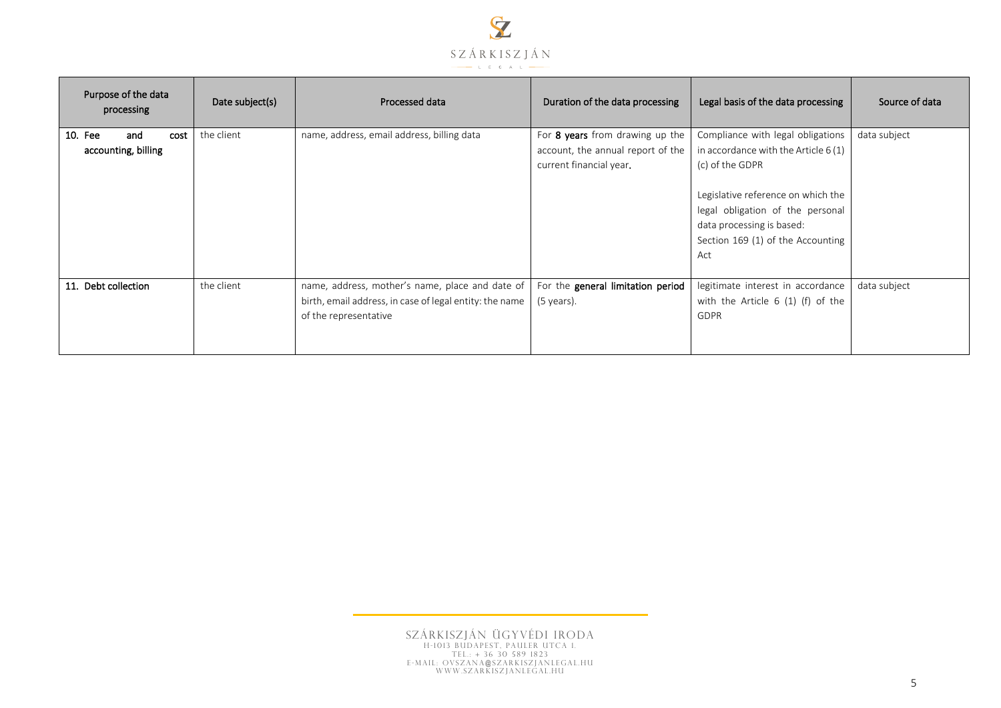

| Purpose of the data<br>processing             | Date subject(s) | Processed data                                                                                                                      | Duration of the data processing                                                                 | Legal basis of the data processing                                                                                                                                                                                                               | Source of data |
|-----------------------------------------------|-----------------|-------------------------------------------------------------------------------------------------------------------------------------|-------------------------------------------------------------------------------------------------|--------------------------------------------------------------------------------------------------------------------------------------------------------------------------------------------------------------------------------------------------|----------------|
| 10. Fee<br>and<br>cost<br>accounting, billing | the client      | name, address, email address, billing data                                                                                          | For 8 years from drawing up the<br>account, the annual report of the<br>current financial year. | Compliance with legal obligations<br>in accordance with the Article $6(1)$<br>(c) of the GDPR<br>Legislative reference on which the<br>legal obligation of the personal<br>data processing is based:<br>Section 169 (1) of the Accounting<br>Act | data subject   |
| 11. Debt collection                           | the client      | name, address, mother's name, place and date of<br>birth, email address, in case of legal entity: the name<br>of the representative | For the general limitation period<br>$(5 \text{ years})$ .                                      | legitimate interest in accordance<br>with the Article $6(1)$ (f) of the<br><b>GDPR</b>                                                                                                                                                           | data subject   |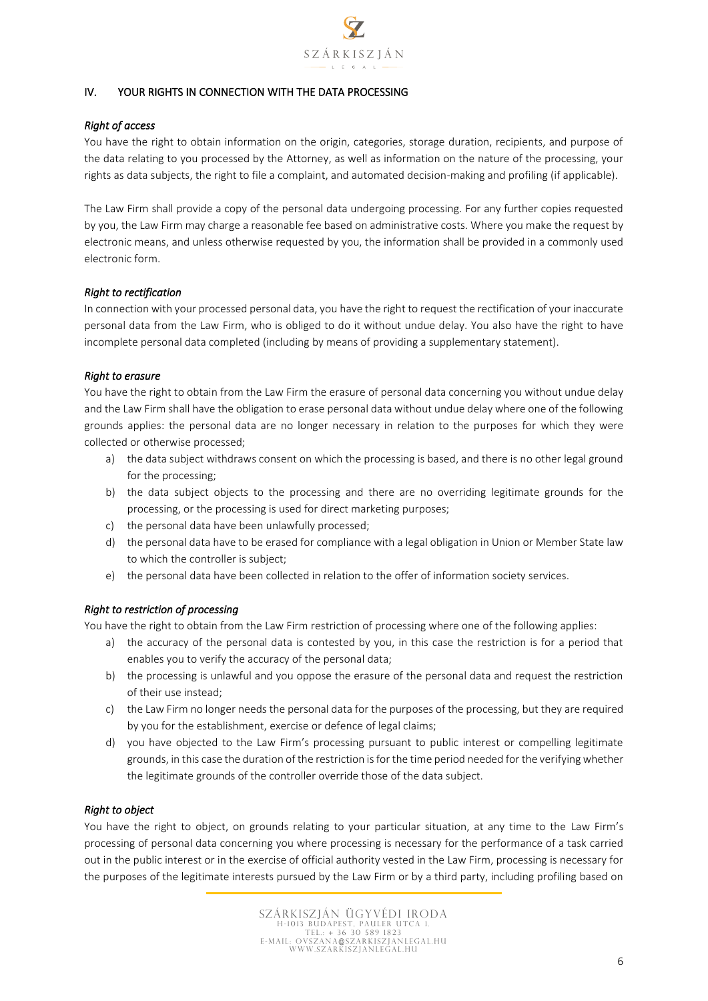

# IV. YOUR RIGHTS IN CONNECTION WITH THE DATA PROCESSING

### *Right of access*

You have the right to obtain information on the origin, categories, storage duration, recipients, and purpose of the data relating to you processed by the Attorney, as well as information on the nature of the processing, your rights as data subjects, the right to file a complaint, and automated decision-making and profiling (if applicable).

The Law Firm shall provide a copy of the personal data undergoing processing. For any further copies requested by you, the Law Firm may charge a reasonable fee based on administrative costs. Where you make the request by electronic means, and unless otherwise requested by you, the information shall be provided in a commonly used electronic form.

#### *Right to rectification*

In connection with your processed personal data, you have the right to request the rectification of your inaccurate personal data from the Law Firm, who is obliged to do it without undue delay. You also have the right to have incomplete personal data completed (including by means of providing a supplementary statement).

### *Right to erasure*

You have the right to obtain from the Law Firm the erasure of personal data concerning you without undue delay and the Law Firm shall have the obligation to erase personal data without undue delay where one of the following grounds applies: the personal data are no longer necessary in relation to the purposes for which they were collected or otherwise processed;

- a) the data subject withdraws consent on which the processing is based, and there is no other legal ground for the processing;
- b) the data subject objects to the processing and there are no overriding legitimate grounds for the processing, or the processing is used for direct marketing purposes;
- c) the personal data have been unlawfully processed;
- d) the personal data have to be erased for compliance with a legal obligation in Union or Member State law to which the controller is subject;
- e) the personal data have been collected in relation to the offer of information society services.

### *Right to restriction of processing*

You have the right to obtain from the Law Firm restriction of processing where one of the following applies:

- a) the accuracy of the personal data is contested by you, in this case the restriction is for a period that enables you to verify the accuracy of the personal data;
- b) the processing is unlawful and you oppose the erasure of the personal data and request the restriction of their use instead;
- c) the Law Firm no longer needs the personal data for the purposes of the processing, but they are required by you for the establishment, exercise or defence of legal claims;
- d) you have objected to the Law Firm's processing pursuant to public interest or compelling legitimate grounds, in this case the duration of the restriction is for the time period needed for the verifying whether the legitimate grounds of the controller override those of the data subject.

### *Right to object*

You have the right to object, on grounds relating to your particular situation, at any time to the Law Firm's processing of personal data concerning you where processing is necessary for the performance of a task carried out in the public interest or in the exercise of official authority vested in the Law Firm, processing is necessary for the purposes of the legitimate interests pursued by the Law Firm or by a third party, including profiling based on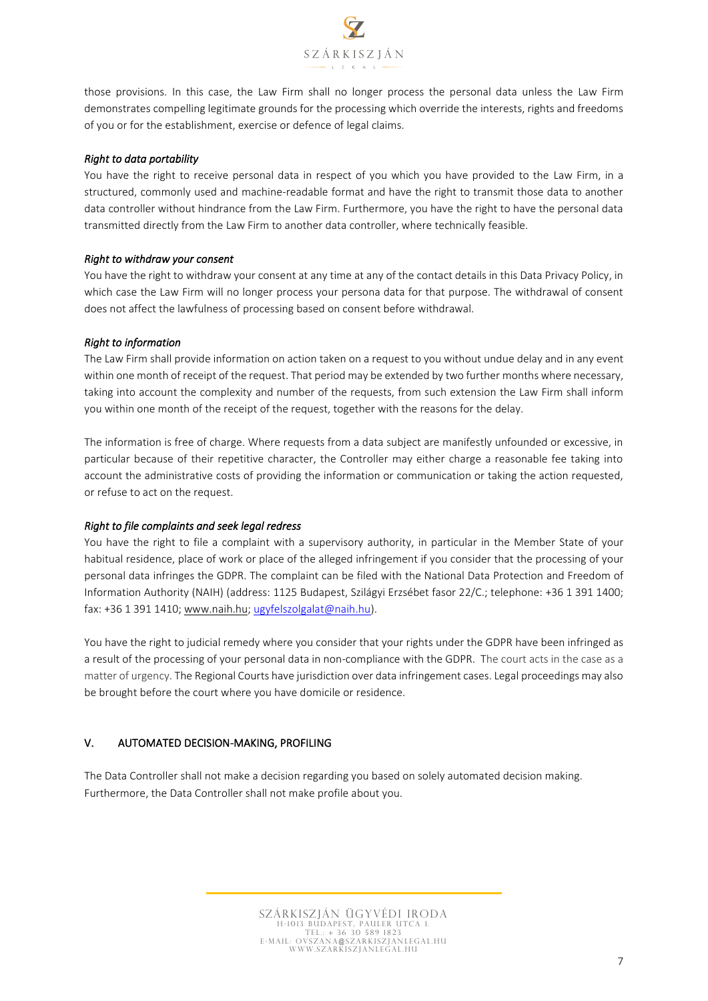

those provisions. In this case, the Law Firm shall no longer process the personal data unless the Law Firm demonstrates compelling legitimate grounds for the processing which override the interests, rights and freedoms of you or for the establishment, exercise or defence of legal claims.

### *Right to data portability*

You have the right to receive personal data in respect of you which you have provided to the Law Firm, in a structured, commonly used and machine-readable format and have the right to transmit those data to another data controller without hindrance from the Law Firm. Furthermore, you have the right to have the personal data transmitted directly from the Law Firm to another data controller, where technically feasible.

### *Right to withdraw your consent*

You have the right to withdraw your consent at any time at any of the contact details in this Data Privacy Policy, in which case the Law Firm will no longer process your persona data for that purpose. The withdrawal of consent does not affect the lawfulness of processing based on consent before withdrawal.

### *Right to information*

The Law Firm shall provide information on action taken on a request to you without undue delay and in any event within one month of receipt of the request. That period may be extended by two further months where necessary, taking into account the complexity and number of the requests, from such extension the Law Firm shall inform you within one month of the receipt of the request, together with the reasons for the delay.

The information is free of charge. Where requests from a data subject are manifestly unfounded or excessive, in particular because of their repetitive character, the Controller may either charge a reasonable fee taking into account the administrative costs of providing the information or communication or taking the action requested, or refuse to act on the request.

#### *Right to file complaints and seek legal redress*

You have the right to file a complaint with a supervisory authority, in particular in the Member State of your habitual residence, place of work or place of the alleged infringement if you consider that the processing of your personal data infringes the GDPR. The complaint can be filed with the National Data Protection and Freedom of Information Authority (NAIH) (address: 1125 Budapest, Szilágyi Erzsébet fasor 22/C.; telephone: +36 1 391 1400; fax: +36 1 391 1410; [www.naih.hu;](http://www.naih.hu/) [ugyfelszolgalat@naih.hu\)](mailto:ugyfelszolgalat@naih.hu).

You have the right to judicial remedy where you consider that your rights under the GDPR have been infringed as a result of the processing of your personal data in non-compliance with the GDPR. The court acts in the case as a matter of urgency. The Regional Courts have jurisdiction over data infringement cases. Legal proceedings may also be brought before the court where you have domicile or residence.

### V. AUTOMATED DECISION-MAKING, PROFILING

The Data Controller shall not make a decision regarding you based on solely automated decision making. Furthermore, the Data Controller shall not make profile about you.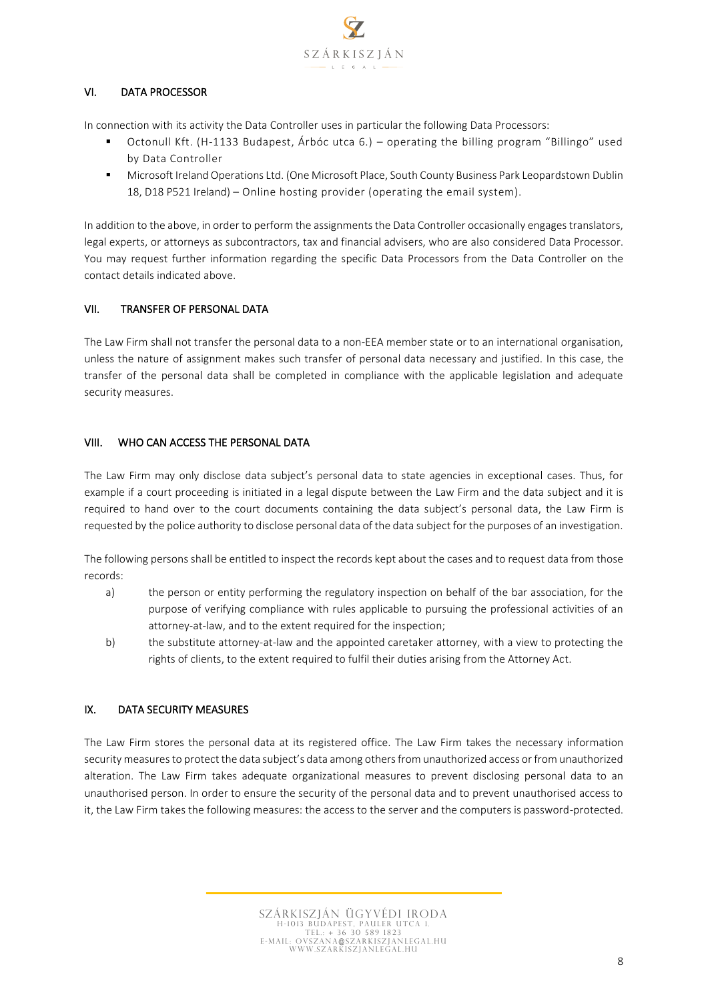

# VI. DATA PROCESSOR

In connection with its activity the Data Controller uses in particular the following Data Processors:

- Octonull Kft. (H-1133 Budapest, Árbóc utca 6.) operating the billing program "Billingo" used by Data Controller
- Microsoft Ireland Operations Ltd. (One Microsoft Place, South County Business Park Leopardstown Dublin 18, D18 P521 Ireland) – Online hosting provider (operating the email system).

In addition to the above, in order to perform the assignments the Data Controller occasionally engages translators, legal experts, or attorneys as subcontractors, tax and financial advisers, who are also considered Data Processor. You may request further information regarding the specific Data Processors from the Data Controller on the contact details indicated above.

### VII. TRANSFER OF PERSONAL DATA

The Law Firm shall not transfer the personal data to a non-EEA member state or to an international organisation, unless the nature of assignment makes such transfer of personal data necessary and justified. In this case, the transfer of the personal data shall be completed in compliance with the applicable legislation and adequate security measures.

### VIII. WHO CAN ACCESS THE PERSONAL DATA

The Law Firm may only disclose data subject's personal data to state agencies in exceptional cases. Thus, for example if a court proceeding is initiated in a legal dispute between the Law Firm and the data subject and it is required to hand over to the court documents containing the data subject's personal data, the Law Firm is requested by the police authority to disclose personal data of the data subject for the purposes of an investigation.

The following persons shall be entitled to inspect the records kept about the cases and to request data from those records:

- a) the person or entity performing the regulatory inspection on behalf of the bar association, for the purpose of verifying compliance with rules applicable to pursuing the professional activities of an attorney-at-law, and to the extent required for the inspection;
- b) the substitute attorney-at-law and the appointed caretaker attorney, with a view to protecting the rights of clients, to the extent required to fulfil their duties arising from the Attorney Act.

### IX. DATA SECURITY MEASURES

The Law Firm stores the personal data at its registered office. The Law Firm takes the necessary information security measures to protect the data subject's data among others from unauthorized access or from unauthorized alteration. The Law Firm takes adequate organizational measures to prevent disclosing personal data to an unauthorised person. In order to ensure the security of the personal data and to prevent unauthorised access to it, the Law Firm takes the following measures: the access to the server and the computers is password-protected.